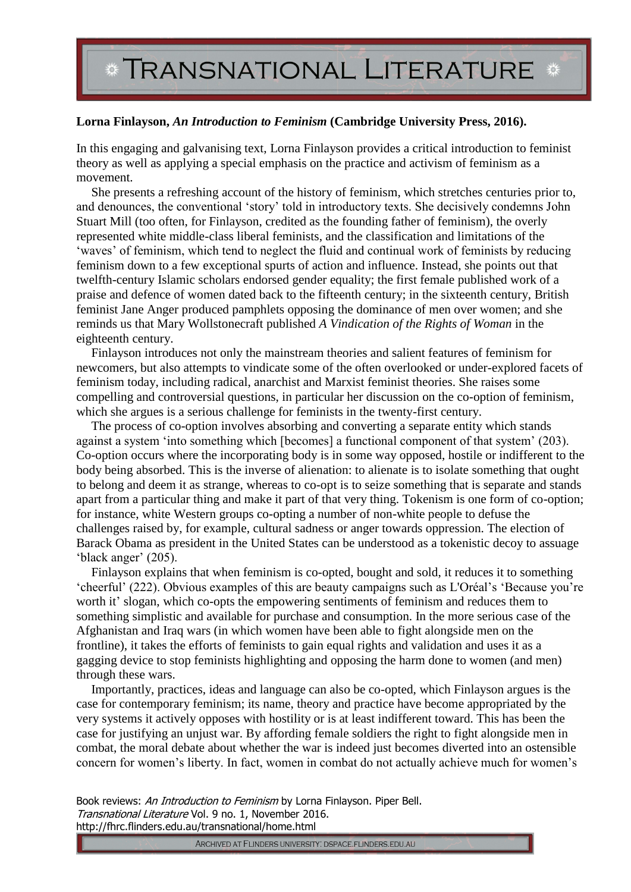## **\* TRANSNATIONAL LITERATURE \***

## **Lorna Finlayson,** *An Introduction to Feminism* **(Cambridge University Press, 2016).**

In this engaging and galvanising text, Lorna Finlayson provides a critical introduction to feminist theory as well as applying a special emphasis on the practice and activism of feminism as a movement.

She presents a refreshing account of the history of feminism, which stretches centuries prior to, and denounces, the conventional 'story' told in introductory texts. She decisively condemns John Stuart Mill (too often, for Finlayson, credited as the founding father of feminism), the overly represented white middle-class liberal feminists, and the classification and limitations of the 'waves' of feminism, which tend to neglect the fluid and continual work of feminists by reducing feminism down to a few exceptional spurts of action and influence. Instead, she points out that twelfth-century Islamic scholars endorsed gender equality; the first female published work of a praise and defence of women dated back to the fifteenth century; in the sixteenth century, British feminist Jane Anger produced pamphlets opposing the dominance of men over women; and she reminds us that Mary Wollstonecraft published *A Vindication of the Rights of Woman* in the eighteenth century.

Finlayson introduces not only the mainstream theories and salient features of feminism for newcomers, but also attempts to vindicate some of the often overlooked or under-explored facets of feminism today, including radical, anarchist and Marxist feminist theories. She raises some compelling and controversial questions, in particular her discussion on the co-option of feminism, which she argues is a serious challenge for feminists in the twenty-first century.

The process of co-option involves absorbing and converting a separate entity which stands against a system 'into something which [becomes] a functional component of that system' (203). Co-option occurs where the incorporating body is in some way opposed, hostile or indifferent to the body being absorbed. This is the inverse of alienation: to alienate is to isolate something that ought to belong and deem it as strange, whereas to co-opt is to seize something that is separate and stands apart from a particular thing and make it part of that very thing. Tokenism is one form of co-option; for instance, white Western groups co-opting a number of non-white people to defuse the challenges raised by, for example, cultural sadness or anger towards oppression. The election of Barack Obama as president in the United States can be understood as a tokenistic decoy to assuage 'black anger' (205).

Finlayson explains that when feminism is co-opted, bought and sold, it reduces it to something 'cheerful' (222). Obvious examples of this are beauty campaigns such as L'Oréal's 'Because you're worth it' slogan, which co-opts the empowering sentiments of feminism and reduces them to something simplistic and available for purchase and consumption. In the more serious case of the Afghanistan and Iraq wars (in which women have been able to fight alongside men on the frontline), it takes the efforts of feminists to gain equal rights and validation and uses it as a gagging device to stop feminists highlighting and opposing the harm done to women (and men) through these wars.

Importantly, practices, ideas and language can also be co-opted, which Finlayson argues is the case for contemporary feminism; its name, theory and practice have become appropriated by the very systems it actively opposes with hostility or is at least indifferent toward. This has been the case for justifying an unjust war. By affording female soldiers the right to fight alongside men in combat, the moral debate about whether the war is indeed just becomes diverted into an ostensible concern for women's liberty. In fact, women in combat do not actually achieve much for women's

Book reviews: An Introduction to Feminism by Lorna Finlayson. Piper Bell. Transnational Literature Vol. 9 no. 1, November 2016. http://fhrc.flinders.edu.au/transnational/home.html

ARCHIVED AT FLINDERS UNIVERSITY: DSPACE.FLINDERS.EDU.AU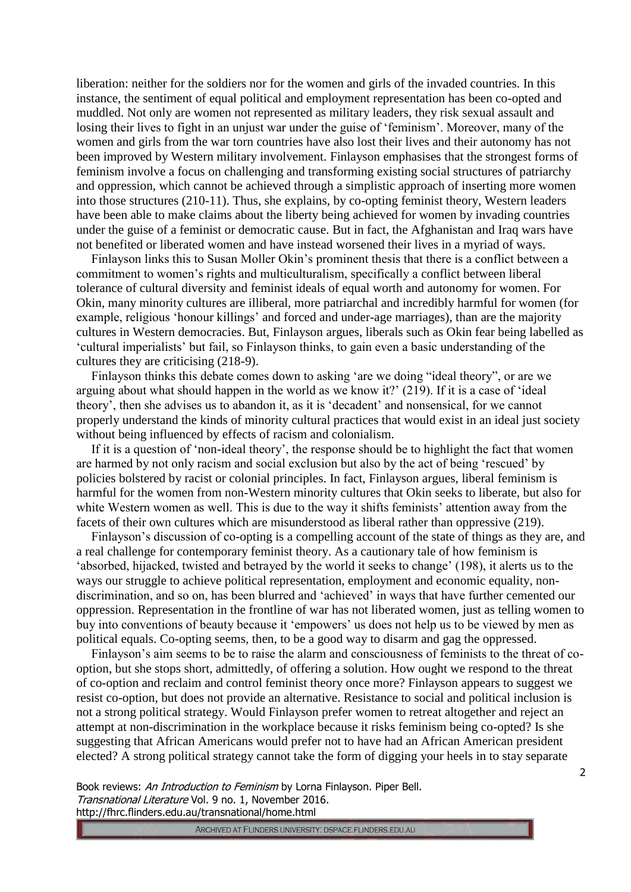liberation: neither for the soldiers nor for the women and girls of the invaded countries. In this instance, the sentiment of equal political and employment representation has been co-opted and muddled. Not only are women not represented as military leaders, they risk sexual assault and losing their lives to fight in an unjust war under the guise of 'feminism'. Moreover, many of the women and girls from the war torn countries have also lost their lives and their autonomy has not been improved by Western military involvement. Finlayson emphasises that the strongest forms of feminism involve a focus on challenging and transforming existing social structures of patriarchy and oppression, which cannot be achieved through a simplistic approach of inserting more women into those structures (210-11). Thus, she explains, by co-opting feminist theory, Western leaders have been able to make claims about the liberty being achieved for women by invading countries under the guise of a feminist or democratic cause. But in fact, the Afghanistan and Iraq wars have not benefited or liberated women and have instead worsened their lives in a myriad of ways.

Finlayson links this to Susan Moller Okin's prominent thesis that there is a conflict between a commitment to women's rights and multiculturalism, specifically a conflict between liberal tolerance of cultural diversity and feminist ideals of equal worth and autonomy for women. For Okin, many minority cultures are illiberal, more patriarchal and incredibly harmful for women (for example, religious 'honour killings' and forced and under-age marriages), than are the majority cultures in Western democracies. But, Finlayson argues, liberals such as Okin fear being labelled as 'cultural imperialists' but fail, so Finlayson thinks, to gain even a basic understanding of the cultures they are criticising (218-9).

Finlayson thinks this debate comes down to asking 'are we doing "ideal theory", or are we arguing about what should happen in the world as we know it?' (219). If it is a case of 'ideal theory', then she advises us to abandon it, as it is 'decadent' and nonsensical, for we cannot properly understand the kinds of minority cultural practices that would exist in an ideal just society without being influenced by effects of racism and colonialism.

If it is a question of 'non-ideal theory', the response should be to highlight the fact that women are harmed by not only racism and social exclusion but also by the act of being 'rescued' by policies bolstered by racist or colonial principles. In fact, Finlayson argues, liberal feminism is harmful for the women from non-Western minority cultures that Okin seeks to liberate, but also for white Western women as well. This is due to the way it shifts feminists' attention away from the facets of their own cultures which are misunderstood as liberal rather than oppressive (219).

Finlayson's discussion of co-opting is a compelling account of the state of things as they are, and a real challenge for contemporary feminist theory. As a cautionary tale of how feminism is 'absorbed, hijacked, twisted and betrayed by the world it seeks to change' (198), it alerts us to the ways our struggle to achieve political representation, employment and economic equality, nondiscrimination, and so on, has been blurred and 'achieved' in ways that have further cemented our oppression. Representation in the frontline of war has not liberated women, just as telling women to buy into conventions of beauty because it 'empowers' us does not help us to be viewed by men as political equals. Co-opting seems, then, to be a good way to disarm and gag the oppressed.

Finlayson's aim seems to be to raise the alarm and consciousness of feminists to the threat of cooption, but she stops short, admittedly, of offering a solution. How ought we respond to the threat of co-option and reclaim and control feminist theory once more? Finlayson appears to suggest we resist co-option, but does not provide an alternative. Resistance to social and political inclusion is not a strong political strategy. Would Finlayson prefer women to retreat altogether and reject an attempt at non-discrimination in the workplace because it risks feminism being co-opted? Is she suggesting that African Americans would prefer not to have had an African American president elected? A strong political strategy cannot take the form of digging your heels in to stay separate

Book reviews: An Introduction to Feminism by Lorna Finlayson. Piper Bell. Transnational Literature Vol. 9 no. 1, November 2016. http://fhrc.flinders.edu.au/transnational/home.html

ARCHIVED AT FLINDERS UNIVERSITY: DSPACE.FLINDERS.EDU.AU